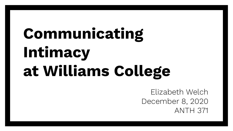## **Communicating Intimacy at Williams College**

Elizabeth Welch December 8, 2020 ANTH 371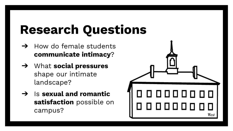### **Research Questions**

- $\rightarrow$  How do female students **communicate intimacy**?
- ➔ What **social pressures** shape our intimate landscape?
- ➔ Is **sexual and romantic satisfaction** possible on campus?

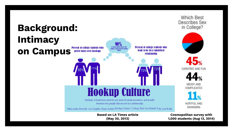

(**Knight, 2014.)**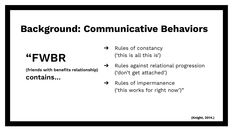#### **Background: Communicative Behaviors**

#### **"FWBR**

**(friends with benefits relationship) contains…**

- $\rightarrow$  Rules of constancy ('this is all this is')
- ➔ Rules against relational progression ('don't get attached')
- ➔ Rules of impermanence ('this works for right now')"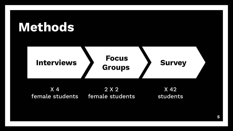

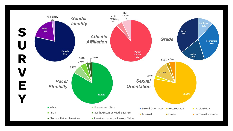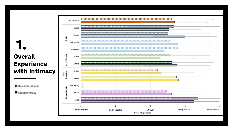#### **Overall Experience with Intimacy 1.**

**23** Romantic Intimacy

Sexual Intimacy

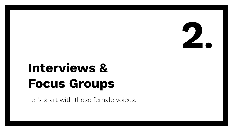

#### **Interviews & Focus Groups**

Let's start with these female voices.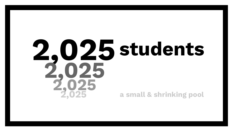#### **2,025 2,025 2,025 2,025 students a small & shrinking pool**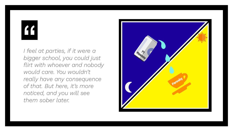# $66$

*I feel at parties, if it were a bigger school, you could just flirt with whoever and nobody would care. You wouldn't really have any consequence of that. But here, it's more noticed, and you will see them sober later.*

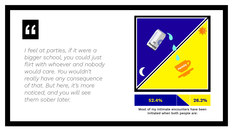# $66$

*I feel at parties, if it were a bigger school, you could just flirt with whoever and nobody would care. You wouldn't really have any consequence of that. But here, it's more noticed, and you will see them sober later.* **52.4% 26.2%**



Most of my intimate encounters have been initiated when both people are: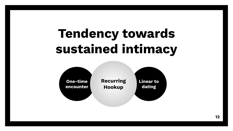## **Tendency towards sustained intimacy**

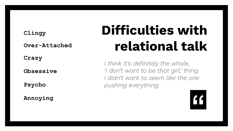**Over-Attached**

**Crazy**

**Obsessive**

**Psycho**

**Annoying**

## **Clingy Difficulties with relational talk**

*I think it's definitely the whole, 'I don't want to be that girl,' thing. I didn't want to seem like the one pushing everything.*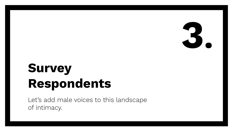

## **Survey Respondents**

Let's add male voices to this landscape of intimacy.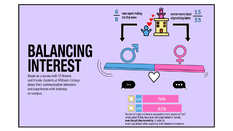## **BALANCING INTEREST**

Based on a survey with 33 female and 8 male students at Williams College about their communicative behaviors and experiences with intimacy on campus.

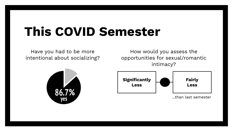#### **This COVID Semester**

Have you had to be more intentional about socializing?

How would you assess the opportunities for sexual/romantic intimacy?



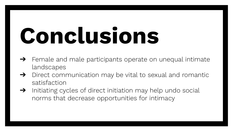# **Conclusions**

- ➔ Female and male participants operate on unequal intimate landscapes
- ➔ Direct communication may be vital to sexual and romantic satisfaction
- ➔ Initiating cycles of direct initiation may help undo social norms that decrease opportunities for intimacy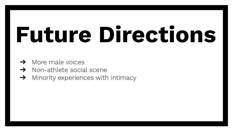# **Future Directions**

- $\rightarrow$  More male voices
- ➔ Non-athlete social scene
- ➔ Minority experiences with intimacy